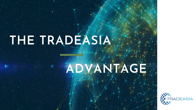# **THE TRADEASIA**

# **ADVANTAGE**



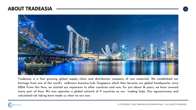# **ABOUT TRADEASIA**



Tradeasia is a fast growing global supply chain and distribution company of raw materials. We established our heritage from one of the world's welknown business hub, Singapore which then became our global headquarter since 2004. From this then, we started our expansion to other countries and now, for just about 16 years, we have covered many part of Asia. We now operates a global network of 9 countries as our trading hubs. Our agressiveness and calculated-risk taking have made us what we are now.

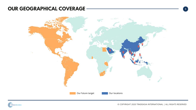**3**





# **OUR GEOGRAPHICAL COVERAGE**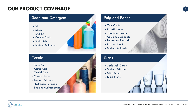- SLS
- SLES
- LABSA
- Caustic Soda
- Soda Ash
- Sodium Sulphate



## **Textile**

# **OUR PRODUCT COVERAGE**  $\qquad \qquad \bullet$

### Soap and Detergent

- Soda Ash
- Acetic Acid
- Oxalid Acid
- Caustic Soda
- Tapioca Strarch
- Hydrogen Peroxide
- Sodium Hydrosulphite

Zinc Oxide





Soda Ash Dense

- Sodium Nitrate
- Silica Sand
- Lime Stone

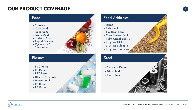

### Plastics Steel Steel

# **OUR PRODUCT COVERAGE 3**

- Starches
- Citric Acid
- Guar Gum
- Acetic Acid
- Tartaric Acid
- Liquid Glucose
- Cyclamate & Saccharine

- Soda Ash Dense
- Nitric Acid
- Lime Stone





- DDGS
- Fish Meal
- Soy Bean Meal
- Corn Gluten Meal
- Palm Kernel Expeller
- L-Lysine HCL
- L-Lysine Sulphate
- L-Lysine Threonine

- PVC Resin
- PP Resin
- PET Resin
- Dioctyl Phthalate
- Masterbatch
- PS Resin
- PE Resin

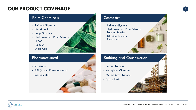# **OUR PRODUCT COVERAGE <sup>3</sup>**

## Palm Chemicals **Cosmetics**

© COPYRIGHT 2020 TRADEASIA INTERNATIONAL | ALL RIGHTS RESERVED



- Refined Glycerin
- Stearic Acid
- Soap Noodles
- Hydrogenated Palm Stearin
- . PFAD
- Palm Oil
- Oleic Acid



- Refined Glycerin
- 
- Talcum Powder
- Titanium Dioxide
- Resorcinol

- Glycerine
- API (Active Pharmaceutical
	- Ingredients)



- Formal Dehyde
- Methylene Chloride
- Methyl Ethyl Ketone
- Epoxy Resins

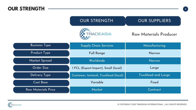© COPYRIGHT 2020 TRADEASIA INTERNATIONAL | ALL RIGHTS RESERVED

# Raw Materials Producer

# **OUR STRENGTH**



| <b>Business Type</b> | <b>Supply Chain Services</b>           | Manufacturing              |
|----------------------|----------------------------------------|----------------------------|
| <b>Product Type</b>  | <b>Full Range</b>                      | Narrow                     |
| Market Spread        | Worldwide                              | Narrow                     |
| Order Size           | 1 FCL (Export-Import), Small (local)   | Large                      |
| Delivery Type        | Container, Istotank, Truckload (local) | <b>Truckload and Large</b> |
| <b>Cost Base</b>     | Variable                               | Fixed                      |
| Raw Materials Price  | Market                                 | Contract                   |



# OUR STRENGTH  $\parallel$  OUR SUPPLIERS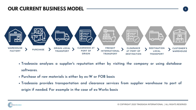**5**

### **s reputation either by visiting the company or using database**

- **Tradeasia analyses a supplier 'softwares.**
- **Purchase of raw materials is either by ex-W or FOB basis**
- **Tradeasia provides transportation and clearance services from supplier warehouse to port of origin if needed. For example in the case of ex-Works basis**





# **OUR CURRENT BUSINESS MODEL**

© COPYRIGHT 2020 TRADEASIA INTERNATIONAL | ALL RIGHTS RESERVED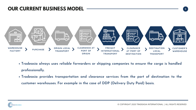**5**

- **Tradeasia always uses reliable forwarders or shipping companies to ensure the cargo is handled professionally.**
- **Tradeasia provides transportation and clearance services from the port of destination to the customer warehouses. For example in the case of DDP (Delivery Duty Paid) basis.**





# **OUR CURRENT BUSINESS MODEL**